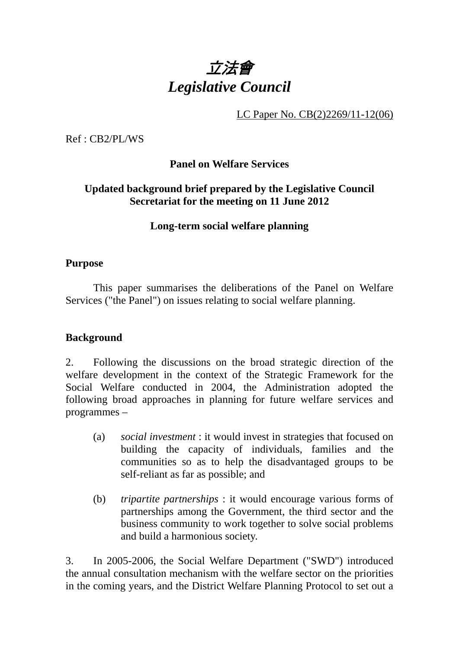

LC Paper No. CB(2)2269/11-12(06)

Ref : CB2/PL/WS

**Panel on Welfare Services** 

## **Updated background brief prepared by the Legislative Council Secretariat for the meeting on 11 June 2012**

# **Long-term social welfare planning**

## **Purpose**

. This paper summarises the deliberations of the Panel on Welfare Services ("the Panel") on issues relating to social welfare planning.

## **Background**

2. Following the discussions on the broad strategic direction of the welfare development in the context of the Strategic Framework for the Social Welfare conducted in 2004, the Administration adopted the following broad approaches in planning for future welfare services and programmes –

- (a) *social investment* : it would invest in strategies that focused on building the capacity of individuals, families and the communities so as to help the disadvantaged groups to be self-reliant as far as possible; and
- (b) *tripartite partnerships* : it would encourage various forms of partnerships among the Government, the third sector and the business community to work together to solve social problems and build a harmonious society.

3. In 2005-2006, the Social Welfare Department ("SWD") introduced the annual consultation mechanism with the welfare sector on the priorities in the coming years, and the District Welfare Planning Protocol to set out a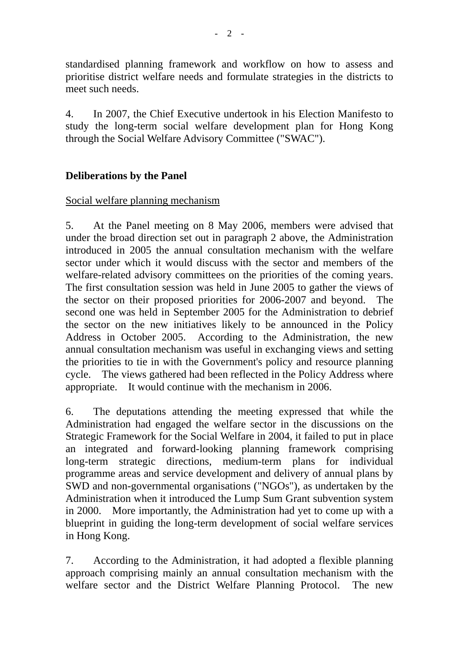standardised planning framework and workflow on how to assess and prioritise district welfare needs and formulate strategies in the districts to meet such needs.

4. In 2007, the Chief Executive undertook in his Election Manifesto to study the long-term social welfare development plan for Hong Kong through the Social Welfare Advisory Committee ("SWAC").

# **Deliberations by the Panel**

# Social welfare planning mechanism

5. At the Panel meeting on 8 May 2006, members were advised that under the broad direction set out in paragraph 2 above, the Administration introduced in 2005 the annual consultation mechanism with the welfare sector under which it would discuss with the sector and members of the welfare-related advisory committees on the priorities of the coming years. The first consultation session was held in June 2005 to gather the views of the sector on their proposed priorities for 2006-2007 and beyond. The second one was held in September 2005 for the Administration to debrief the sector on the new initiatives likely to be announced in the Policy Address in October 2005. According to the Administration, the new annual consultation mechanism was useful in exchanging views and setting the priorities to tie in with the Government's policy and resource planning cycle. The views gathered had been reflected in the Policy Address where appropriate. It would continue with the mechanism in 2006.

6. The deputations attending the meeting expressed that while the Administration had engaged the welfare sector in the discussions on the Strategic Framework for the Social Welfare in 2004, it failed to put in place an integrated and forward-looking planning framework comprising long-term strategic directions, medium-term plans for individual programme areas and service development and delivery of annual plans by SWD and non-governmental organisations ("NGOs"), as undertaken by the Administration when it introduced the Lump Sum Grant subvention system in 2000. More importantly, the Administration had yet to come up with a blueprint in guiding the long-term development of social welfare services in Hong Kong.

7. According to the Administration, it had adopted a flexible planning approach comprising mainly an annual consultation mechanism with the welfare sector and the District Welfare Planning Protocol. The new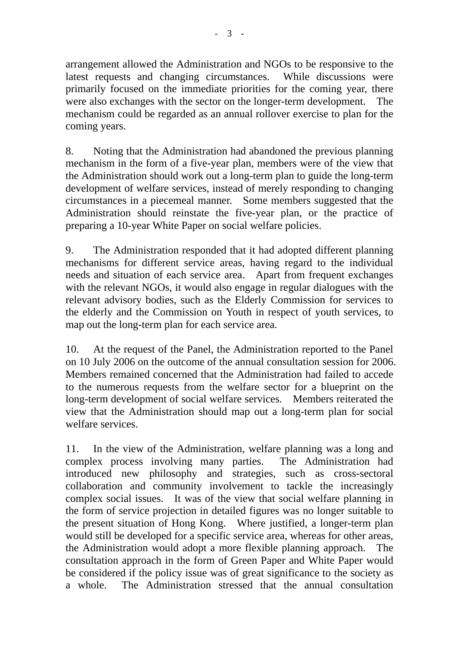arrangement allowed the Administration and NGOs to be responsive to the latest requests and changing circumstances. While discussions were primarily focused on the immediate priorities for the coming year, there were also exchanges with the sector on the longer-term development. The mechanism could be regarded as an annual rollover exercise to plan for the coming years.

8. Noting that the Administration had abandoned the previous planning mechanism in the form of a five-year plan, members were of the view that the Administration should work out a long-term plan to guide the long-term development of welfare services, instead of merely responding to changing circumstances in a piecemeal manner. Some members suggested that the Administration should reinstate the five-year plan, or the practice of preparing a 10-year White Paper on social welfare policies.

9. The Administration responded that it had adopted different planning mechanisms for different service areas, having regard to the individual needs and situation of each service area. Apart from frequent exchanges with the relevant NGOs, it would also engage in regular dialogues with the relevant advisory bodies, such as the Elderly Commission for services to the elderly and the Commission on Youth in respect of youth services, to map out the long-term plan for each service area.

10. At the request of the Panel, the Administration reported to the Panel on 10 July 2006 on the outcome of the annual consultation session for 2006. Members remained concerned that the Administration had failed to accede to the numerous requests from the welfare sector for a blueprint on the long-term development of social welfare services. Members reiterated the view that the Administration should map out a long-term plan for social welfare services.

11. In the view of the Administration, welfare planning was a long and complex process involving many parties. The Administration had introduced new philosophy and strategies, such as cross-sectoral collaboration and community involvement to tackle the increasingly complex social issues. It was of the view that social welfare planning in the form of service projection in detailed figures was no longer suitable to the present situation of Hong Kong. Where justified, a longer-term plan would still be developed for a specific service area, whereas for other areas, the Administration would adopt a more flexible planning approach. The consultation approach in the form of Green Paper and White Paper would be considered if the policy issue was of great significance to the society as a whole. The Administration stressed that the annual consultation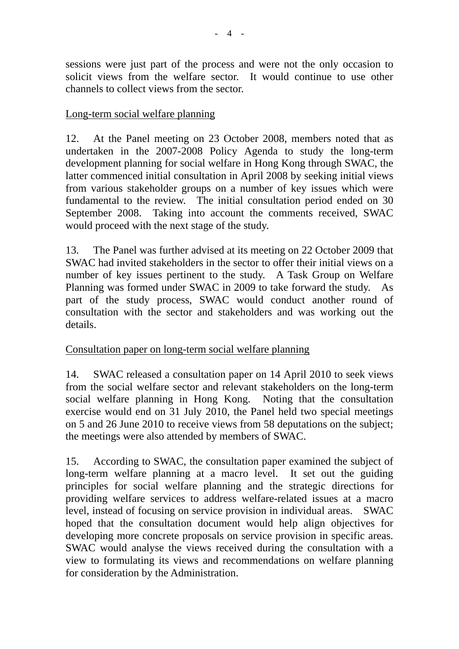sessions were just part of the process and were not the only occasion to solicit views from the welfare sector. It would continue to use other channels to collect views from the sector.

# Long-term social welfare planning

12. At the Panel meeting on 23 October 2008, members noted that as undertaken in the 2007-2008 Policy Agenda to study the long-term development planning for social welfare in Hong Kong through SWAC, the latter commenced initial consultation in April 2008 by seeking initial views from various stakeholder groups on a number of key issues which were fundamental to the review. The initial consultation period ended on 30 September 2008. Taking into account the comments received, SWAC would proceed with the next stage of the study.

13. The Panel was further advised at its meeting on 22 October 2009 that SWAC had invited stakeholders in the sector to offer their initial views on a number of key issues pertinent to the study. A Task Group on Welfare Planning was formed under SWAC in 2009 to take forward the study. As part of the study process, SWAC would conduct another round of consultation with the sector and stakeholders and was working out the details.

# Consultation paper on long-term social welfare planning

14. SWAC released a consultation paper on 14 April 2010 to seek views from the social welfare sector and relevant stakeholders on the long-term social welfare planning in Hong Kong. Noting that the consultation exercise would end on 31 July 2010, the Panel held two special meetings on 5 and 26 June 2010 to receive views from 58 deputations on the subject; the meetings were also attended by members of SWAC.

15. According to SWAC, the consultation paper examined the subject of long-term welfare planning at a macro level. It set out the guiding principles for social welfare planning and the strategic directions for providing welfare services to address welfare-related issues at a macro level, instead of focusing on service provision in individual areas. SWAC hoped that the consultation document would help align objectives for developing more concrete proposals on service provision in specific areas. SWAC would analyse the views received during the consultation with a view to formulating its views and recommendations on welfare planning for consideration by the Administration.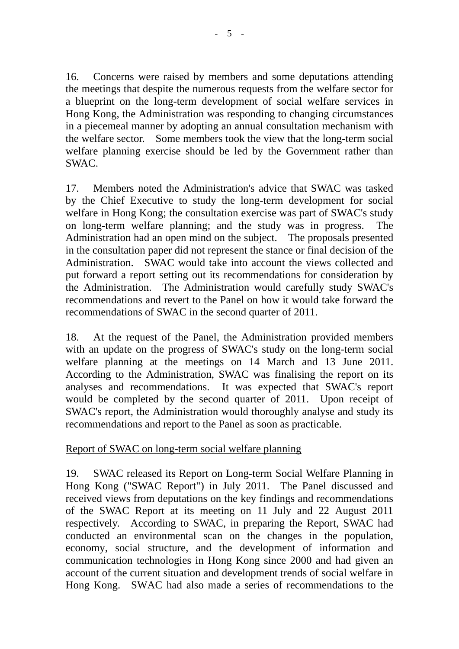16. Concerns were raised by members and some deputations attending the meetings that despite the numerous requests from the welfare sector for a blueprint on the long-term development of social welfare services in Hong Kong, the Administration was responding to changing circumstances in a piecemeal manner by adopting an annual consultation mechanism with the welfare sector. Some members took the view that the long-term social welfare planning exercise should be led by the Government rather than SWAC.

17. Members noted the Administration's advice that SWAC was tasked by the Chief Executive to study the long-term development for social welfare in Hong Kong; the consultation exercise was part of SWAC's study on long-term welfare planning; and the study was in progress. The Administration had an open mind on the subject. The proposals presented in the consultation paper did not represent the stance or final decision of the Administration. SWAC would take into account the views collected and put forward a report setting out its recommendations for consideration by the Administration. The Administration would carefully study SWAC's recommendations and revert to the Panel on how it would take forward the recommendations of SWAC in the second quarter of 2011.

18. At the request of the Panel, the Administration provided members with an update on the progress of SWAC's study on the long-term social welfare planning at the meetings on 14 March and 13 June 2011. According to the Administration, SWAC was finalising the report on its analyses and recommendations. It was expected that SWAC's report would be completed by the second quarter of 2011. Upon receipt of SWAC's report, the Administration would thoroughly analyse and study its recommendations and report to the Panel as soon as practicable.

## Report of SWAC on long-term social welfare planning

19. SWAC released its Report on Long-term Social Welfare Planning in Hong Kong ("SWAC Report") in July 2011. The Panel discussed and received views from deputations on the key findings and recommendations of the SWAC Report at its meeting on 11 July and 22 August 2011 respectively. According to SWAC, in preparing the Report, SWAC had conducted an environmental scan on the changes in the population, economy, social structure, and the development of information and communication technologies in Hong Kong since 2000 and had given an account of the current situation and development trends of social welfare in Hong Kong. SWAC had also made a series of recommendations to the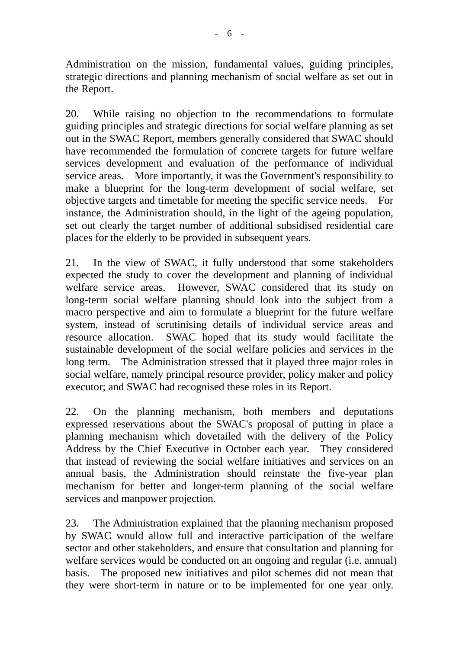Administration on the mission, fundamental values, guiding principles, strategic directions and planning mechanism of social welfare as set out in the Report.

20. While raising no objection to the recommendations to formulate guiding principles and strategic directions for social welfare planning as set out in the SWAC Report, members generally considered that SWAC should have recommended the formulation of concrete targets for future welfare services development and evaluation of the performance of individual service areas. More importantly, it was the Government's responsibility to make a blueprint for the long-term development of social welfare, set objective targets and timetable for meeting the specific service needs. For instance, the Administration should, in the light of the ageing population, set out clearly the target number of additional subsidised residential care places for the elderly to be provided in subsequent years.

21. In the view of SWAC, it fully understood that some stakeholders expected the study to cover the development and planning of individual welfare service areas. However, SWAC considered that its study on long-term social welfare planning should look into the subject from a macro perspective and aim to formulate a blueprint for the future welfare system, instead of scrutinising details of individual service areas and resource allocation. SWAC hoped that its study would facilitate the sustainable development of the social welfare policies and services in the long term. The Administration stressed that it played three major roles in social welfare, namely principal resource provider, policy maker and policy executor; and SWAC had recognised these roles in its Report.

22. On the planning mechanism, both members and deputations expressed reservations about the SWAC's proposal of putting in place a planning mechanism which dovetailed with the delivery of the Policy Address by the Chief Executive in October each year. They considered that instead of reviewing the social welfare initiatives and services on an annual basis, the Administration should reinstate the five-year plan mechanism for better and longer-term planning of the social welfare services and manpower projection.

23. The Administration explained that the planning mechanism proposed by SWAC would allow full and interactive participation of the welfare sector and other stakeholders, and ensure that consultation and planning for welfare services would be conducted on an ongoing and regular (i.e. annual) basis. The proposed new initiatives and pilot schemes did not mean that they were short-term in nature or to be implemented for one year only.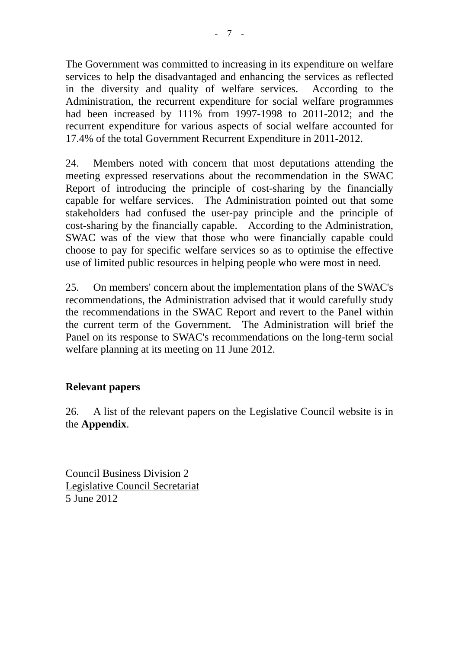The Government was committed to increasing in its expenditure on welfare services to help the disadvantaged and enhancing the services as reflected in the diversity and quality of welfare services. According to the Administration, the recurrent expenditure for social welfare programmes had been increased by 111% from 1997-1998 to 2011-2012; and the recurrent expenditure for various aspects of social welfare accounted for 17.4% of the total Government Recurrent Expenditure in 2011-2012.

24. Members noted with concern that most deputations attending the meeting expressed reservations about the recommendation in the SWAC Report of introducing the principle of cost-sharing by the financially capable for welfare services. The Administration pointed out that some stakeholders had confused the user-pay principle and the principle of cost-sharing by the financially capable. According to the Administration, SWAC was of the view that those who were financially capable could choose to pay for specific welfare services so as to optimise the effective use of limited public resources in helping people who were most in need.

25. On members' concern about the implementation plans of the SWAC's recommendations, the Administration advised that it would carefully study the recommendations in the SWAC Report and revert to the Panel within the current term of the Government. The Administration will brief the Panel on its response to SWAC's recommendations on the long-term social welfare planning at its meeting on 11 June 2012.

# **Relevant papers**

26. A list of the relevant papers on the Legislative Council website is in the **Appendix**.

Council Business Division 2 Legislative Council Secretariat 5 June 2012